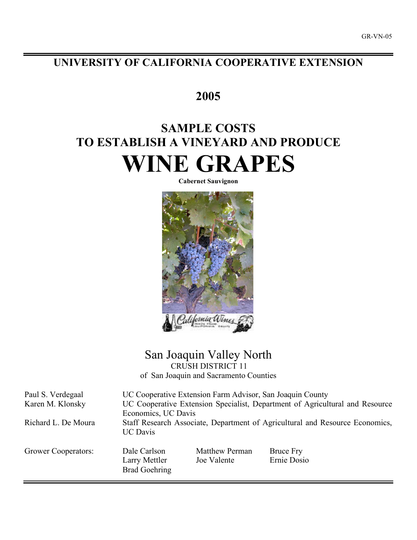# **UNIVERSITY OF CALIFORNIA COOPERATIVE EXTENSION**

# **2005**

# **SAMPLE COSTS TO ESTABLISH A VINEYARD AND PRODUCE WINE GRAPES**

**Cabernet Sauvignon**



# San Joaquin Valley North CRUSH DISTRICT 11

of San Joaquin and Sacramento Counties

Paul S. Verdegaal UC Cooperative Extension Farm Advisor, San Joaquin County Karen M. Klonsky UC Cooperative Extension Specialist, Department of Agricultural and Resource Economics, UC Davis Richard L. De Moura Staff Research Associate, Department of Agricultural and Resource Economics, UC Davis Grower Cooperators: Dale Carlson Matthew Perman Bruce Fry Larry Mettler Joe Valente Ernie Dosio Brad Goehring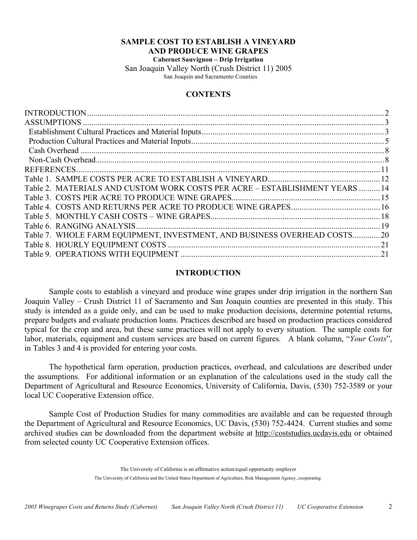## **SAMPLE COST TO ESTABLISH A VINEYARD AND PRODUCE WINE GRAPES Cabernet Sauvignon – Drip Irrigation**

San Joaquin Valley North (Crush District 11) 2005 San Joaquin and Sacramento Counties

# **CONTENTS**

| Table 2. MATERIALS AND CUSTOM WORK COSTS PER ACRE - ESTABLISHMENT YEARS  14<br>Table 7. WHOLE FARM EQUIPMENT, INVESTMENT, AND BUSINESS OVERHEAD COSTS20 |  |
|---------------------------------------------------------------------------------------------------------------------------------------------------------|--|
|                                                                                                                                                         |  |
|                                                                                                                                                         |  |
|                                                                                                                                                         |  |
|                                                                                                                                                         |  |
|                                                                                                                                                         |  |
|                                                                                                                                                         |  |
|                                                                                                                                                         |  |
|                                                                                                                                                         |  |
|                                                                                                                                                         |  |
|                                                                                                                                                         |  |
|                                                                                                                                                         |  |
|                                                                                                                                                         |  |
|                                                                                                                                                         |  |
|                                                                                                                                                         |  |
|                                                                                                                                                         |  |

## **INTRODUCTION**

Sample costs to establish a vineyard and produce wine grapes under drip irrigation in the northern San Joaquin Valley – Crush District 11 of Sacramento and San Joaquin counties are presented in this study. This study is intended as a guide only, and can be used to make production decisions, determine potential returns, prepare budgets and evaluate production loans. Practices described are based on production practices considered typical for the crop and area, but these same practices will not apply to every situation. The sample costs for labor, materials, equipment and custom services are based on current figures. A blank column, "*Your Costs*", in Tables 3 and 4 is provided for entering your costs.

The hypothetical farm operation, production practices, overhead, and calculations are described under the assumptions. For additional information or an explanation of the calculations used in the study call the Department of Agricultural and Resource Economics, University of California, Davis, (530) 752-3589 or your local UC Cooperative Extension office.

Sample Cost of Production Studies for many commodities are available and can be requested through the Department of Agricultural and Resource Economics, UC Davis, (530) 752-4424. Current studies and some archived studies can be downloaded from the department website at http://coststudies.ucdavis.edu or obtained from selected county UC Cooperative Extension offices.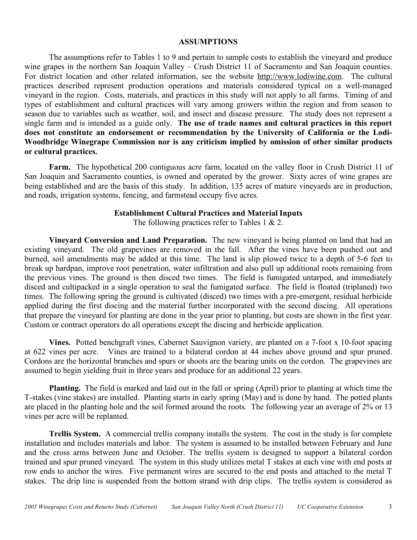#### **ASSUMPTIONS**

The assumptions refer to Tables 1 to 9 and pertain to sample costs to establish the vineyard and produce wine grapes in the northern San Joaquin Valley – Crush District 11 of Sacramento and San Joaquin counties. For district location and other related information, see the website http://www.lodiwine.com. The cultural practices described represent production operations and materials considered typical on a well-managed vineyard in the region. Costs, materials, and practices in this study will not apply to all farms. Timing of and types of establishment and cultural practices will vary among growers within the region and from season to season due to variables such as weather, soil, and insect and disease pressure. The study does not represent a single farm and is intended as a guide only. **The use of trade names and cultural practices in this report does not constitute an endorsement or recommendation by the University of California or the Lodi-Woodbridge Winegrape Commission nor is any criticism implied by omission of other similar products or cultural practices.**

**Farm.** The hypothetical 200 contiguous acre farm, located on the valley floor in Crush District 11 of San Joaquin and Sacramento counties, is owned and operated by the grower. Sixty acres of wine grapes are being established and are the basis of this study. In addition, 135 acres of mature vineyards are in production, and roads, irrigation systems, fencing, and farmstead occupy five acres.

# **Establishment Cultural Practices and Material Inputs**

The following practices refer to Tables 1 & 2.

**Vineyard Conversion and Land Preparation.** The new vineyard is being planted on land that had an existing vineyard. The old grapevines are removed in the fall. After the vines have been pushed out and burned, soil amendments may be added at this time. The land is slip plowed twice to a depth of 5-6 feet to break up hardpan, improve root penetration, water infiltration and also pull up additional roots remaining from the previous vines. The ground is then disced two times. The field is fumigated untarped, and immediately disced and cultipacked in a single operation to seal the fumigated surface. The field is floated (triplaned) two times. The following spring the ground is cultivated (disced) two times with a pre-emergent, residual herbicide applied during the first discing and the material further incorporated with the second discing. All operations that prepare the vineyard for planting are done in the year prior to planting, but costs are shown in the first year. Custom or contract operators do all operations except the discing and herbicide application.

**Vines.** Potted benchgraft vines, Cabernet Sauvignon variety, are planted on a 7-foot x 10-foot spacing at 622 vines per acre. Vines are trained to a bilateral cordon at 44 inches above ground and spur pruned. Cordons are the horizontal branches and spurs or shoots are the bearing units on the cordon. The grapevines are assumed to begin yielding fruit in three years and produce for an additional 22 years.

**Planting.** The field is marked and laid out in the fall or spring (April) prior to planting at which time the T-stakes (vine stakes) are installed. Planting starts in early spring (May) and is done by hand. The potted plants are placed in the planting hole and the soil formed around the roots. The following year an average of 2% or 13 vines per acre will be replanted.

**Trellis System.** A commercial trellis company installs the system. The cost in the study is for complete installation and includes materials and labor. The system is assumed to be installed between February and June and the cross arms between June and October. The trellis system is designed to support a bilateral cordon trained and spur pruned vineyard. The system in this study utilizes metal T stakes at each vine with end posts at row ends to anchor the wires. Five permanent wires are secured to the end posts and attached to the metal T stakes. The drip line is suspended from the bottom strand with drip clips. The trellis system is considered as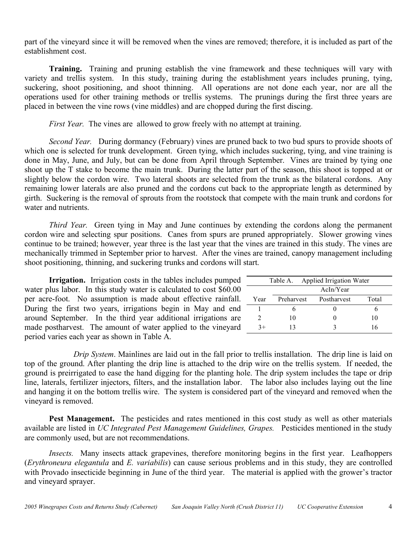part of the vineyard since it will be removed when the vines are removed; therefore, it is included as part of the establishment cost.

**Training.** Training and pruning establish the vine framework and these techniques will vary with variety and trellis system. In this study, training during the establishment years includes pruning, tying, suckering, shoot positioning, and shoot thinning. All operations are not done each year, nor are all the operations used for other training methods or trellis systems. The prunings during the first three years are placed in between the vine rows (vine middles) and are chopped during the first discing.

*First Year.* The vines are allowed to grow freely with no attempt at training.

*Second Year.* During dormancy (February) vines are pruned back to two bud spurs to provide shoots of which one is selected for trunk development. Green tying, which includes suckering, tying, and vine training is done in May, June, and July, but can be done from April through September. Vines are trained by tying one shoot up the T stake to become the main trunk. During the latter part of the season, this shoot is topped at or slightly below the cordon wire. Two lateral shoots are selected from the trunk as the bilateral cordons. Any remaining lower laterals are also pruned and the cordons cut back to the appropriate length as determined by girth. Suckering is the removal of sprouts from the rootstock that compete with the main trunk and cordons for water and nutrients.

*Third Year.* Green tying in May and June continues by extending the cordons along the permanent cordon wire and selecting spur positions. Canes from spurs are pruned appropriately. Slower growing vines continue to be trained; however, year three is the last year that the vines are trained in this study. The vines are mechanically trimmed in September prior to harvest. After the vines are trained, canopy management including shoot positioning, thinning, and suckering trunks and cordons will start.

**Irrigation.** Irrigation costs in the tables includes pumped water plus labor. In this study water is calculated to cost \$60.00 per acre-foot. No assumption is made about effective rainfall. During the first two years, irrigations begin in May and end around September. In the third year additional irrigations are made postharvest. The amount of water applied to the vineyard period varies each year as shown in Table A.

|      | Table A. Applied Irrigation Water |             |       |  |  |  |  |  |  |
|------|-----------------------------------|-------------|-------|--|--|--|--|--|--|
|      | AcIn/Year                         |             |       |  |  |  |  |  |  |
| Year | Preharvest                        | Postharvest | Total |  |  |  |  |  |  |
|      |                                   |             |       |  |  |  |  |  |  |
|      | 10                                |             | 10    |  |  |  |  |  |  |
| $3+$ | 13                                |             | 16    |  |  |  |  |  |  |

*Drip System*. Mainlines are laid out in the fall prior to trellis installation. The drip line is laid on top of the ground. After planting the drip line is attached to the drip wire on the trellis system. If needed, the ground is preirrigated to ease the hand digging for the planting hole. The drip system includes the tape or drip line, laterals, fertilizer injectors, filters, and the installation labor. The labor also includes laying out the line and hanging it on the bottom trellis wire. The system is considered part of the vineyard and removed when the vineyard is removed.

**Pest Management.** The pesticides and rates mentioned in this cost study as well as other materials available are listed in *UC Integrated Pest Management Guidelines, Grapes.* Pesticides mentioned in the study are commonly used, but are not recommendations.

*Insects.* Many insects attack grapevines, therefore monitoring begins in the first year. Leafhoppers (*Erythroneura elegantula* and *E. variabilis*) can cause serious problems and in this study, they are controlled with Provado insecticide beginning in June of the third year. The material is applied with the grower's tractor and vineyard sprayer.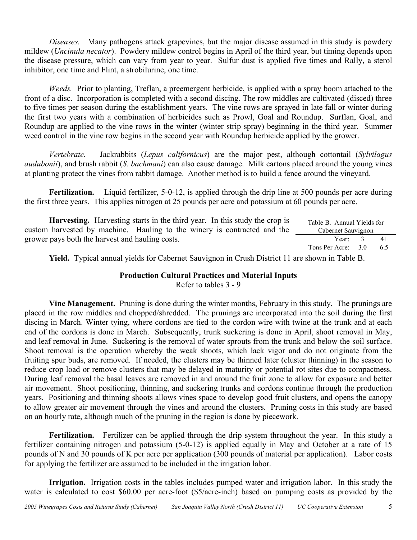*Diseases.* Many pathogens attack grapevines, but the major disease assumed in this study is powdery mildew (*Uncinula necator*). Powdery mildew control begins in April of the third year, but timing depends upon the disease pressure, which can vary from year to year. Sulfur dust is applied five times and Rally, a sterol inhibitor, one time and Flint, a strobilurine, one time.

*Weeds.* Prior to planting, Treflan, a preemergent herbicide, is applied with a spray boom attached to the front of a disc. Incorporation is completed with a second discing. The row middles are cultivated (disced) three to five times per season during the establishment years. The vine rows are sprayed in late fall or winter during the first two years with a combination of herbicides such as Prowl, Goal and Roundup. Surflan, Goal, and Roundup are applied to the vine rows in the winter (winter strip spray) beginning in the third year. Summer weed control in the vine row begins in the second year with Roundup herbicide applied by the grower.

*Vertebrate.* Jackrabbits (*Lepus californicus*) are the major pest, although cottontail (*Sylvilagus audubonii*), and brush rabbit (*S. bachmani*) can also cause damage. Milk cartons placed around the young vines at planting protect the vines from rabbit damage. Another method is to build a fence around the vineyard.

Fertilization. Liquid fertilizer, 5-0-12, is applied through the drip line at 500 pounds per acre during the first three years. This applies nitrogen at 25 pounds per acre and potassium at 60 pounds per acre.

| <b>Harvesting.</b> Harvesting starts in the third year. In this study the crop is | Table B. Annual Yields for |      |
|-----------------------------------------------------------------------------------|----------------------------|------|
| custom harvested by machine. Hauling to the winery is contracted and the          | Cabernet Sauvignon         |      |
| grower pays both the harvest and hauling costs.                                   | Year: $3$                  | $4+$ |
|                                                                                   | Tons Per Acre: 3.0         | 6.5  |

**Yield.** Typical annual yields for Cabernet Sauvignon in Crush District 11 are shown in Table B.

# **Production Cultural Practices and Material Inputs**

Refer to tables 3 - 9

**Vine Management.** Pruning is done during the winter months, February in this study. The prunings are placed in the row middles and chopped/shredded. The prunings are incorporated into the soil during the first discing in March. Winter tying, where cordons are tied to the cordon wire with twine at the trunk and at each end of the cordons is done in March. Subsequently, trunk suckering is done in April, shoot removal in May, and leaf removal in June. Suckering is the removal of water sprouts from the trunk and below the soil surface. Shoot removal is the operation whereby the weak shoots, which lack vigor and do not originate from the fruiting spur buds, are removed. If needed, the clusters may be thinned later (cluster thinning) in the season to reduce crop load or remove clusters that may be delayed in maturity or potential rot sites due to compactness. During leaf removal the basal leaves are removed in and around the fruit zone to allow for exposure and better air movement. Shoot positioning, thinning, and suckering trunks and cordons continue through the production years. Positioning and thinning shoots allows vines space to develop good fruit clusters, and opens the canopy to allow greater air movement through the vines and around the clusters. Pruning costs in this study are based on an hourly rate, although much of the pruning in the region is done by piecework.

**Fertilization.** Fertilizer can be applied through the drip system throughout the year. In this study a fertilizer containing nitrogen and potassium (5-0-12) is applied equally in May and October at a rate of 15 pounds of N and 30 pounds of K per acre per application (300 pounds of material per application). Labor costs for applying the fertilizer are assumed to be included in the irrigation labor.

**Irrigation.** Irrigation costs in the tables includes pumped water and irrigation labor. In this study the water is calculated to cost \$60.00 per acre-foot (\$5/acre-inch) based on pumping costs as provided by the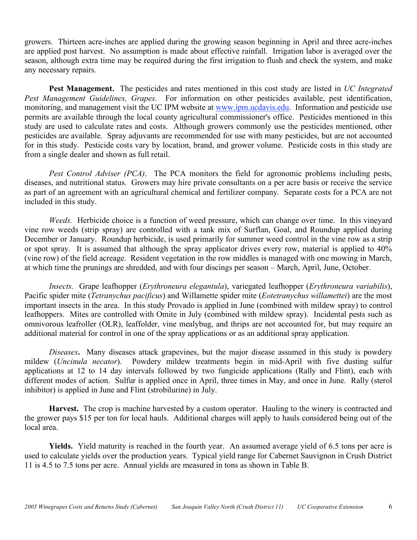growers. Thirteen acre-inches are applied during the growing season beginning in April and three acre-inches are applied post harvest. No assumption is made about effective rainfall. Irrigation labor is averaged over the season, although extra time may be required during the first irrigation to flush and check the system, and make any necessary repairs.

**Pest Management.** The pesticides and rates mentioned in this cost study are listed in *UC Integrated Pest Management Guidelines, Grapes.* For information on other pesticides available, pest identification, monitoring, and management visit the UC IPM website at www.ipm.ucdavis.edu. Information and pesticide use permits are available through the local county agricultural commissioner's office. Pesticides mentioned in this study are used to calculate rates and costs. Although growers commonly use the pesticides mentioned, other pesticides are available. Spray adjuvants are recommended for use with many pesticides, but are not accounted for in this study. Pesticide costs vary by location, brand, and grower volume. Pesticide costs in this study are from a single dealer and shown as full retail.

*Pest Control Adviser (PCA)*. The PCA monitors the field for agronomic problems including pests, diseases, and nutritional status. Growers may hire private consultants on a per acre basis or receive the service as part of an agreement with an agricultural chemical and fertilizer company. Separate costs for a PCA are not included in this study.

*Weeds.* Herbicide choice is a function of weed pressure, which can change over time. In this vineyard vine row weeds (strip spray) are controlled with a tank mix of Surflan, Goal, and Roundup applied during December or January. Roundup herbicide, is used primarily for summer weed control in the vine row as a strip or spot spray. It is assumed that although the spray applicator drives every row, material is applied to 40% (vine row) of the field acreage. Resident vegetation in the row middles is managed with one mowing in March, at which time the prunings are shredded, and with four discings per season – March, April, June, October.

*Insects.* Grape leafhopper (*Erythroneura elegantula*), variegated leafhopper (*Erythroneura variabilis*), Pacific spider mite (*Tetranychus pacificus*) and Willamette spider mite (*Eotetranychus willamettei*) are the most important insects in the area. In this study Provado is applied in June (combined with mildew spray) to control leafhoppers. Mites are controlled with Omite in July (combined with mildew spray). Incidental pests such as omnivorous leafroller (OLR), leaffolder, vine mealybug, and thrips are not accounted for, but may require an additional material for control in one of the spray applications or as an additional spray application.

*Diseases***.** Many diseases attack grapevines, but the major disease assumed in this study is powdery mildew (*Uncinula necator*). Powdery mildew treatments begin in mid-April with five dusting sulfur applications at 12 to 14 day intervals followed by two fungicide applications (Rally and Flint), each with different modes of action. Sulfur is applied once in April, three times in May, and once in June. Rally (sterol inhibitor) is applied in June and Flint (strobilurine) in July.

**Harvest.** The crop is machine harvested by a custom operator. Hauling to the winery is contracted and the grower pays \$15 per ton for local hauls. Additional charges will apply to hauls considered being out of the local area.

**Yields.** Yield maturity is reached in the fourth year. An assumed average yield of 6.5 tons per acre is used to calculate yields over the production years. Typical yield range for Cabernet Sauvignon in Crush District 11 is 4.5 to 7.5 tons per acre. Annual yields are measured in tons as shown in Table B.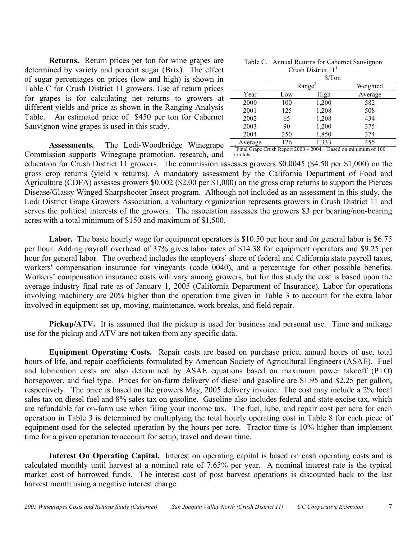**Returns.** Return prices per ton for wine grapes are determined by variety and percent sugar (Brix). The effect of sugar percentages on prices (low and high) is shown in Table C for Crush District 11 growers. Use of return prices for grapes is for calculating net returns to growers at different yields and price as shown in the Ranging Analysis Table. An estimated price of \$450 per ton for Cabernet Sauvignon wine grapes is used in this study.

Assessments. The Lodi-Woodbridge Winegrape  $\frac{\text{Average}}{\text{Final Graph Report 2000 - 2004}}$   $\frac{1333}{\text{Based on minimum of 100}}$ Commission supports Winegrape promotion, research, and

|  | Table C. Annual Returns for Cabernet Sauvignon |
|--|------------------------------------------------|
|  | Crush District $111$                           |

| CHUMH DIMIUL I I |     |       |          |  |  |  |  |  |  |  |
|------------------|-----|-------|----------|--|--|--|--|--|--|--|
|                  |     |       |          |  |  |  |  |  |  |  |
|                  |     | Range | Weighted |  |  |  |  |  |  |  |
| Year             | Low | High  | Average  |  |  |  |  |  |  |  |
| 2000             | 100 | 1,200 | 582      |  |  |  |  |  |  |  |
| 2001             | 125 | 1,208 | 508      |  |  |  |  |  |  |  |
| 2002             | 65  | 1,208 | 434      |  |  |  |  |  |  |  |
| 2003             | 90  | 1,200 | 375      |  |  |  |  |  |  |  |
| 2004             | 250 | 1,850 | 374      |  |  |  |  |  |  |  |
| Average          | 126 | 1,333 | 455      |  |  |  |  |  |  |  |

ton lots

education for Crush District 11 growers. The commission assesses growers \$0.0045 (\$4.50 per \$1,000) on the gross crop returns (yield x returns). A mandatory assessment by the California Department of Food and Agriculture (CDFA) assesses growers \$0.002 (\$2.00 per \$1,000) on the gross crop returns to support the Pierces Disease/Glassy Winged Sharpshooter Insect program. Although not included as an assessment in this study, the Lodi District Grape Growers Association, a voluntary organization represents growers in Crush District 11 and serves the political interests of the growers. The association assesses the growers \$3 per bearing/non-bearing acres with a total minimum of \$150 and maximum of \$1,500.

Labor. The basic hourly wage for equipment operators is \$10.50 per hour and for general labor is \$6.75 per hour. Adding payroll overhead of 37% gives labor rates of \$14.38 for equipment operators and \$9.25 per hour for general labor. The overhead includes the employers' share of federal and California state payroll taxes, workers' compensation insurance for vineyards (code 0040), and a percentage for other possible benefits. Workers' compensation insurance costs will vary among growers, but for this study the cost is based upon the average industry final rate as of January 1, 2005 (California Department of Insurance). Labor for operations involving machinery are 20% higher than the operation time given in Table 3 to account for the extra labor involved in equipment set up, moving, maintenance, work breaks, and field repair.

**Pickup/ATV.** It is assumed that the pickup is used for business and personal use. Time and mileage use for the pickup and ATV are not taken from any specific data.

**Equipment Operating Costs.** Repair costs are based on purchase price, annual hours of use, total hours of life, and repair coefficients formulated by American Society of Agricultural Engineers (ASAE). Fuel and lubrication costs are also determined by ASAE equations based on maximum power takeoff (PTO) horsepower, and fuel type. Prices for on-farm delivery of diesel and gasoline are \$1.95 and \$2.25 per gallon, respectively. The price is based on the growers May, 2005 delivery invoice. The cost may include a 2% local sales tax on diesel fuel and 8% sales tax on gasoline. Gasoline also includes federal and state excise tax, which are refundable for on-farm use when filing your income tax. The fuel, lube, and repair cost per acre for each operation in Table 3 is determined by multiplying the total hourly operating cost in Table 8 for each piece of equipment used for the selected operation by the hours per acre. Tractor time is 10% higher than implement time for a given operation to account for setup, travel and down time.

**Interest On Operating Capital.** Interest on operating capital is based on cash operating costs and is calculated monthly until harvest at a nominal rate of 7.65% per year. A nominal interest rate is the typical market cost of borrowed funds. The interest cost of post harvest operations is discounted back to the last harvest month using a negative interest charge.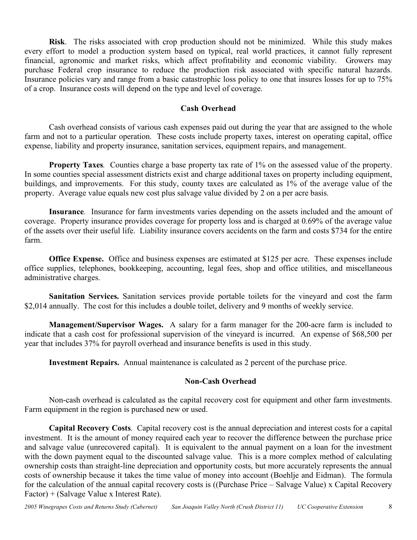**Risk**. The risks associated with crop production should not be minimized. While this study makes every effort to model a production system based on typical, real world practices, it cannot fully represent financial, agronomic and market risks, which affect profitability and economic viability. Growers may purchase Federal crop insurance to reduce the production risk associated with specific natural hazards. Insurance policies vary and range from a basic catastrophic loss policy to one that insures losses for up to 75% of a crop. Insurance costs will depend on the type and level of coverage.

## **Cash Overhead**

Cash overhead consists of various cash expenses paid out during the year that are assigned to the whole farm and not to a particular operation. These costs include property taxes, interest on operating capital, office expense, liability and property insurance, sanitation services, equipment repairs, and management.

**Property Taxes***.* Counties charge a base property tax rate of 1% on the assessed value of the property. In some counties special assessment districts exist and charge additional taxes on property including equipment, buildings, and improvements. For this study, county taxes are calculated as 1% of the average value of the property. Average value equals new cost plus salvage value divided by 2 on a per acre basis.

**Insurance***.* Insurance for farm investments varies depending on the assets included and the amount of coverage. Property insurance provides coverage for property loss and is charged at 0.69% of the average value of the assets over their useful life. Liability insurance covers accidents on the farm and costs \$734 for the entire farm.

**Office Expense.** Office and business expenses are estimated at \$125 per acre. These expenses include office supplies, telephones, bookkeeping, accounting, legal fees, shop and office utilities, and miscellaneous administrative charges.

**Sanitation Services.** Sanitation services provide portable toilets for the vineyard and cost the farm \$2,014 annually. The cost for this includes a double toilet, delivery and 9 months of weekly service.

**Management/Supervisor Wages.** A salary for a farm manager for the 200-acre farm is included to indicate that a cash cost for professional supervision of the vineyard is incurred. An expense of \$68,500 per year that includes 37% for payroll overhead and insurance benefits is used in this study.

**Investment Repairs.** Annual maintenance is calculated as 2 percent of the purchase price.

# **Non-Cash Overhead**

Non-cash overhead is calculated as the capital recovery cost for equipment and other farm investments. Farm equipment in the region is purchased new or used.

**Capital Recovery Costs**. Capital recovery cost is the annual depreciation and interest costs for a capital investment. It is the amount of money required each year to recover the difference between the purchase price and salvage value (unrecovered capital). It is equivalent to the annual payment on a loan for the investment with the down payment equal to the discounted salvage value. This is a more complex method of calculating ownership costs than straight-line depreciation and opportunity costs, but more accurately represents the annual costs of ownership because it takes the time value of money into account (Boehlje and Eidman). The formula for the calculation of the annual capital recovery costs is ((Purchase Price – Salvage Value) x Capital Recovery Factor) + (Salvage Value x Interest Rate).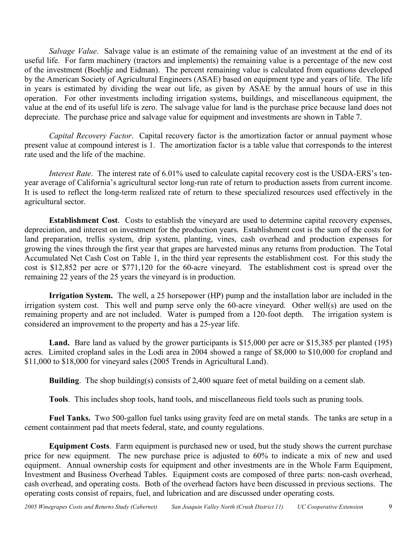*Salvage Value*. Salvage value is an estimate of the remaining value of an investment at the end of its useful life. For farm machinery (tractors and implements) the remaining value is a percentage of the new cost of the investment (Boehlje and Eidman). The percent remaining value is calculated from equations developed by the American Society of Agricultural Engineers (ASAE) based on equipment type and years of life. The life in years is estimated by dividing the wear out life, as given by ASAE by the annual hours of use in this operation. For other investments including irrigation systems, buildings, and miscellaneous equipment, the value at the end of its useful life is zero. The salvage value for land is the purchase price because land does not depreciate. The purchase price and salvage value for equipment and investments are shown in Table 7.

*Capital Recovery Factor*. Capital recovery factor is the amortization factor or annual payment whose present value at compound interest is 1. The amortization factor is a table value that corresponds to the interest rate used and the life of the machine.

*Interest Rate*. The interest rate of 6.01% used to calculate capital recovery cost is the USDA-ERS's tenyear average of California's agricultural sector long-run rate of return to production assets from current income. It is used to reflect the long-term realized rate of return to these specialized resources used effectively in the agricultural sector.

**Establishment Cost**. Costs to establish the vineyard are used to determine capital recovery expenses, depreciation, and interest on investment for the production years. Establishment cost is the sum of the costs for land preparation, trellis system, drip system, planting, vines, cash overhead and production expenses for growing the vines through the first year that grapes are harvested minus any returns from production. The Total Accumulated Net Cash Cost on Table 1, in the third year represents the establishment cost. For this study the cost is \$12,852 per acre or \$771,120 for the 60-acre vineyard. The establishment cost is spread over the remaining 22 years of the 25 years the vineyard is in production.

**Irrigation System.** The well, a 25 horsepower (HP) pump and the installation labor are included in the irrigation system cost. This well and pump serve only the 60-acre vineyard. Other well(s) are used on the remaining property and are not included. Water is pumped from a 120-foot depth. The irrigation system is considered an improvement to the property and has a 25-year life.

**Land.** Bare land as valued by the grower participants is \$15,000 per acre or \$15,385 per planted (195) acres. Limited cropland sales in the Lodi area in 2004 showed a range of \$8,000 to \$10,000 for cropland and \$11,000 to \$18,000 for vineyard sales (2005 Trends in Agricultural Land).

**Building**. The shop building(s) consists of 2,400 square feet of metal building on a cement slab.

**Tools**. This includes shop tools, hand tools, and miscellaneous field tools such as pruning tools.

**Fuel Tanks.** Two 500-gallon fuel tanks using gravity feed are on metal stands. The tanks are setup in a cement containment pad that meets federal, state, and county regulations.

**Equipment Costs**. Farm equipment is purchased new or used, but the study shows the current purchase price for new equipment. The new purchase price is adjusted to 60% to indicate a mix of new and used equipment. Annual ownership costs for equipment and other investments are in the Whole Farm Equipment, Investment and Business Overhead Tables. Equipment costs are composed of three parts: non-cash overhead, cash overhead, and operating costs. Both of the overhead factors have been discussed in previous sections. The operating costs consist of repairs, fuel, and lubrication and are discussed under operating costs.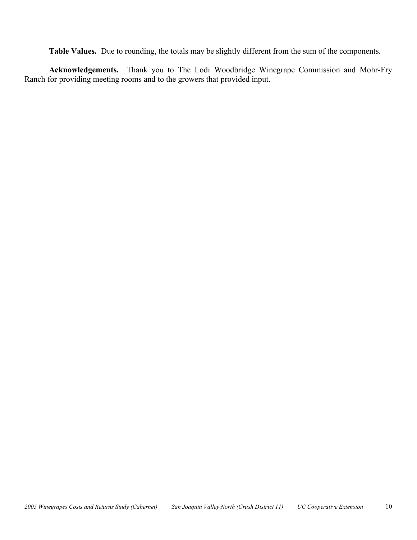**Table Values.** Due to rounding, the totals may be slightly different from the sum of the components.

**Acknowledgements.** Thank you to The Lodi Woodbridge Winegrape Commission and Mohr-Fry Ranch for providing meeting rooms and to the growers that provided input.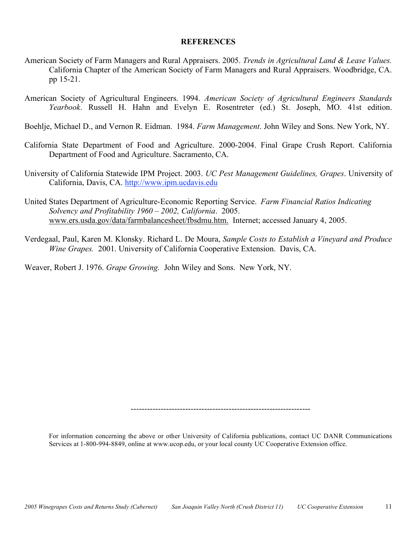#### **REFERENCES**

- American Society of Farm Managers and Rural Appraisers. 2005. *Trends in Agricultural Land & Lease Values.* California Chapter of the American Society of Farm Managers and Rural Appraisers. Woodbridge, CA. pp 15-21.
- American Society of Agricultural Engineers. 1994. *American Society of Agricultural Engineers Standards Yearbook*. Russell H. Hahn and Evelyn E. Rosentreter (ed.) St. Joseph, MO. 41st edition.

Boehlje, Michael D., and Vernon R. Eidman. 1984. *Farm Management*. John Wiley and Sons. New York, NY.

- California State Department of Food and Agriculture. 2000-2004. Final Grape Crush Report. California Department of Food and Agriculture. Sacramento, CA.
- University of California Statewide IPM Project. 2003. *UC Pest Management Guidelines, Grapes*. University of California, Davis, CA. http://www.ipm.ucdavis.edu
- United States Department of Agriculture-Economic Reporting Service. *Farm Financial Ratios Indicating Solvency and Profitability 1960 – 2002, California*. 2005. www.ers.usda.gov/data/farmbalancesheet/fbsdmu.htm. Internet; accessed January 4, 2005.
- Verdegaal, Paul, Karen M. Klonsky. Richard L. De Moura, *Sample Costs to Establish a Vineyard and Produce Wine Grapes.* 2001. University of California Cooperative Extension. Davis, CA.

Weaver, Robert J. 1976. *Grape Growing.* John Wiley and Sons. New York, NY.

------------------------------------------------------------------

For information concerning the above or other University of California publications, contact UC DANR Communications Services at 1-800-994-8849, online at www.ucop.edu, or your local county UC Cooperative Extension office.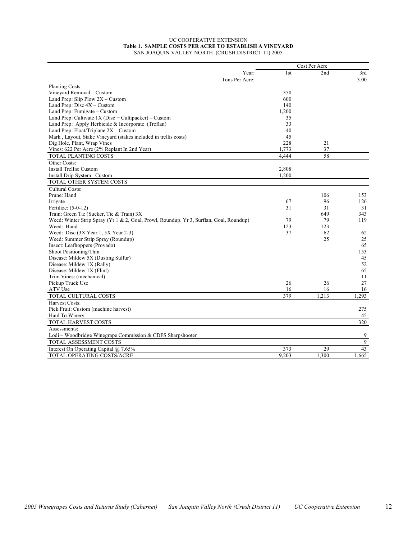#### UC COOPERATIVE EXTENSION **Table 1. SAMPLE COSTS PER ACRE TO ESTABLISH A VINEYARD** SAN JOAQUIN VALLEY NORTH (CRUSH DISTRICT 11) 2005

|                                                                                         |       | Cost Per Acre |       |
|-----------------------------------------------------------------------------------------|-------|---------------|-------|
| Year:                                                                                   | 1st   | 2nd           | 3rd   |
| Tons Per Acre:                                                                          |       |               | 3.00  |
| Planting Costs:                                                                         |       |               |       |
| Vineyard Removal - Custom                                                               | 350   |               |       |
| Land Prep: Slip Plow $2X -$ Custom                                                      | 600   |               |       |
| Land Prep: Disc $4X -$ Custom                                                           | 140   |               |       |
| Land Prep: Fumigate – Custom                                                            | 1,200 |               |       |
| Land Prep: Cultivate $1X$ (Disc + Cultipacker) – Custom                                 | 35    |               |       |
| Land Prep: Apply Herbicide & Incorporate (Treflan)                                      | 33    |               |       |
| Land Prep: Float/Triplane 2X - Custom                                                   | 40    |               |       |
| Mark, Layout, Stake Vineyard (stakes included in trellis costs)                         | 45    |               |       |
| Dig Hole, Plant, Wrap Vines                                                             | 228   | 21            |       |
| Vines: 622 Per Acre (2% Replant In 2nd Year)                                            | 1,773 | 37            |       |
| TOTAL PLANTING COSTS                                                                    | 4.444 | 58            |       |
| Other Costs:                                                                            |       |               |       |
| Install Trellis: Custom                                                                 | 2,808 |               |       |
| Install Drip System: Custom                                                             | 1,200 |               |       |
| TOTAL OTHER SYSTEM COSTS                                                                |       |               |       |
| Cultural Costs:                                                                         |       |               |       |
| Prune: Hand                                                                             |       | 106           | 153   |
| Irrigate                                                                                | 67    | 96            | 126   |
| Fertilize: (5-0-12)                                                                     | 31    | 31            | 31    |
| Train: Green Tie (Sucker, Tie & Train) 3X                                               |       | 649           | 343   |
| Weed: Winter Strip Spray (Yr 1 & 2, Goal, Prowl, Roundup. Yr 3, Surflan, Goal, Roundup) | 79    | 79            | 119   |
| Weed: Hand                                                                              | 123   | 123           |       |
| Weed: Disc (3X Year 1, 5X Year 2-3)                                                     | 37    | 62            | 62    |
| Weed: Summer Strip Spray (Roundup)                                                      |       | 25            | 25    |
| Insect: Leafhoppers (Provado)                                                           |       |               | 65    |
| Shoot Positioning/Thin                                                                  |       |               | 153   |
| Disease: Mildew 5X (Dusting Sulfur)                                                     |       |               | 45    |
| Disease: Mildew 1X (Rally)                                                              |       |               | 52    |
| Disease: Mildew 1X (Flint)                                                              |       |               | 65    |
| Trim Vines: (mechanical)                                                                |       |               | 11    |
| Pickup Truck Use                                                                        | 26    | 26            | 27    |
| ATV Use                                                                                 | 16    | 16            | 16    |
| TOTAL CULTURAL COSTS                                                                    | 379   | 1,213         | 1,293 |
| Harvest Costs:                                                                          |       |               |       |
| Pick Fruit: Custom (machine harvest)                                                    |       |               | 275   |
| Haul To Winery                                                                          |       |               |       |
|                                                                                         |       |               | 45    |
| TOTAL HARVEST COSTS                                                                     |       |               | 320   |
| Assessments:                                                                            |       |               |       |
| Lodi – Woodbridge Winegrape Commission $&$ CDFS Sharpshooter                            |       |               | 9     |
| <b>TOTAL ASSESSMENT COSTS</b>                                                           |       |               | 9     |
| Interest On Operating Capital @ 7.65%                                                   | 373   | 29            | 43    |
| TOTAL OPERATING COSTS/ACRE                                                              | 9,203 | 1,300         | 1,665 |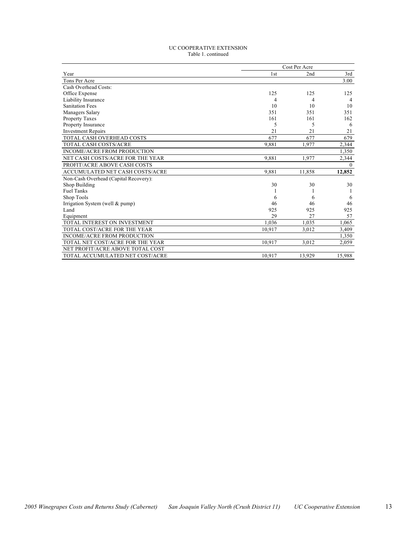#### UC COOPERATIVE EXTENSION Table 1. continued

|                                       |        | Cost Per Acre |                |
|---------------------------------------|--------|---------------|----------------|
| Year                                  | 1st    | 2nd           | 3rd            |
| Tons Per Acre                         |        |               | 3.00           |
| Cash Overhead Costs:                  |        |               |                |
| Office Expense                        | 125    | 125           | 125            |
| Liability Insurance                   | 4      | 4             | $\overline{4}$ |
| <b>Sanitation Fees</b>                | 10     | 10            | 10             |
| Managers Salary                       | 351    | 351           | 351            |
| Property Taxes                        | 161    | 161           | 162            |
| Property Insurance                    | 5      | 5             | 6              |
| <b>Investment Repairs</b>             | 21     | 21            | 21             |
| TOTAL CASH OVERHEAD COSTS             | 677    | 677           | 679            |
| <b>TOTAL CASH COSTS/ACRE</b>          | 9,881  | 1,977         | 2,344          |
| INCOME/ACRE FROM PRODUCTION           |        |               | 1,350          |
| NET CASH COSTS/ACRE FOR THE YEAR      | 9,881  | 1,977         | 2,344          |
| PROFIT/ACRE ABOVE CASH COSTS          |        |               | $\theta$       |
| ACCUMULATED NET CASH COSTS/ACRE       | 9,881  | 11,858        | 12,852         |
| Non-Cash Overhead (Capital Recovery): |        |               |                |
| Shop Building                         | 30     | 30            | 30             |
| <b>Fuel Tanks</b>                     |        |               |                |
| Shop Tools                            | 6      | 6             | 6              |
| Irrigation System (well & pump)       | 46     | 46            | 46             |
| Land                                  | 925    | 925           | 925            |
| Equipment                             | 29     | 27            | 57             |
| TOTAL INTEREST ON INVESTMENT          | 1.036  | 1,035         | 1,065          |
| TOTAL COST/ACRE FOR THE YEAR          | 10,917 | 3,012         | 3,409          |
| <b>INCOME/ACRE FROM PRODUCTION</b>    |        |               | 1,350          |
| TOTAL NET COST/ACRE FOR THE YEAR      | 10.917 | 3,012         | 2,059          |
| NET PROFIT/ACRE ABOVE TOTAL COST      |        |               |                |
| TOTAL ACCUMULATED NET COST/ACRE       | 10.917 | 13,929        | 15,988         |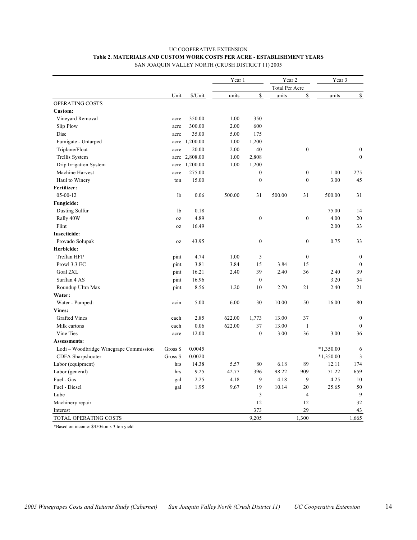# UC COOPERATIVE EXTENSION **Table 2. MATERIALS AND CUSTOM WORK COSTS PER ACRE - ESTABLISHMENT YEARS**

|                                        |          |               |        | Year 1           |                       | Year 2           | Year 3      |                  |  |
|----------------------------------------|----------|---------------|--------|------------------|-----------------------|------------------|-------------|------------------|--|
|                                        |          |               |        |                  | <b>Total Per Acre</b> |                  |             |                  |  |
|                                        | Unit     | \$/Unit       | units  | \$               | units                 | \$               | units       | \$               |  |
| OPERATING COSTS                        |          |               |        |                  |                       |                  |             |                  |  |
| Custom:                                |          |               |        |                  |                       |                  |             |                  |  |
| Vineyard Removal                       | acre     | 350.00        | 1.00   | 350              |                       |                  |             |                  |  |
| Slip Plow                              | acre     | 300.00        | 2.00   | 600              |                       |                  |             |                  |  |
| Disc                                   | acre     | 35.00         | 5.00   | 175              |                       |                  |             |                  |  |
| Fumigate - Untarped                    |          | acre 1,200.00 | 1.00   | 1,200            |                       |                  |             |                  |  |
| Triplane/Float                         | acre     | 20.00         | 2.00   | 40               |                       | $\boldsymbol{0}$ |             | $\boldsymbol{0}$ |  |
| Trellis System                         |          | acre 2,808.00 | 1.00   | 2,808            |                       |                  |             | $\boldsymbol{0}$ |  |
| Drip Irrigation System                 |          | acre 1,200.00 | 1.00   | 1,200            |                       |                  |             |                  |  |
| Machine Harvest                        | acre     | 275.00        |        | $\boldsymbol{0}$ |                       | $\boldsymbol{0}$ | 1.00        | 275              |  |
| Haul to Winery                         | ton      | 15.00         |        | $\boldsymbol{0}$ |                       | $\boldsymbol{0}$ | 3.00        | 45               |  |
| Fertilizer:                            |          |               |        |                  |                       |                  |             |                  |  |
| $05 - 00 - 12$                         | 1b       | 0.06          | 500.00 | 31               | 500.00                | 31               | 500.00      | 31               |  |
| <b>Fungicide:</b>                      |          |               |        |                  |                       |                  |             |                  |  |
| Dusting Sulfur                         | 1b       | 0.18          |        |                  |                       |                  | 75.00       | 14               |  |
| Rally 40W                              | 0Z       | 4.89          |        | $\boldsymbol{0}$ |                       | $\boldsymbol{0}$ | 4.00        | 20               |  |
| Flint                                  | 0Z       | 16.49         |        |                  |                       |                  | 2.00        | 33               |  |
| <b>Insecticide:</b>                    |          |               |        |                  |                       |                  |             |                  |  |
| Provado Solupak                        | 0Z       | 43.95         |        | $\boldsymbol{0}$ |                       | $\boldsymbol{0}$ | 0.75        | 33               |  |
| Herbicide:                             |          |               |        |                  |                       |                  |             |                  |  |
| Treflan HFP                            | pint     | 4.74          | 1.00   | 5                |                       | $\boldsymbol{0}$ |             | $\boldsymbol{0}$ |  |
| Prowl 3.3 EC                           | pint     | 3.81          | 3.84   | 15               | 3.84                  | 15               |             | $\boldsymbol{0}$ |  |
| Goal 2XL                               | pint     | 16.21         | 2.40   | 39               | 2.40                  | 36               | 2.40        | 39               |  |
| Surflan 4 AS                           | pint     | 16.96         |        | $\mathbf{0}$     |                       |                  | 3.20        | 54               |  |
| Roundup Ultra Max                      | pint     | 8.56          | 1.20   | 10               | 2.70                  | 21               | 2.40        | 21               |  |
| Water:                                 |          |               |        |                  |                       |                  |             |                  |  |
| Water - Pumped:                        | acin     | 5.00          | 6.00   | 30               | 10.00                 | 50               | 16.00       | 80               |  |
| <b>Vines:</b>                          |          |               |        |                  |                       |                  |             |                  |  |
| <b>Grafted Vines</b>                   | each     | 2.85          | 622.00 | 1,773            | 13.00                 | 37               |             | $\mathbf{0}$     |  |
| Milk cartons                           | each     | 0.06          | 622.00 | 37               | 13.00                 | $\mathbf{1}$     |             | $\mathbf{0}$     |  |
| Vine Ties                              | acre     | 12.00         |        | $\boldsymbol{0}$ | 3.00                  | 36               | 3.00        | 36               |  |
| Assessments:                           |          |               |        |                  |                       |                  |             |                  |  |
| Lodi – Woodbridge Winegrape Commission | Gross \$ | 0.0045        |        |                  |                       |                  | $*1,350.00$ | 6                |  |
| CDFA Sharpshooter                      | Gross \$ | 0.0020        |        |                  |                       |                  | $*1,350.00$ | 3                |  |
| Labor (equipment)                      | hrs      | 14.38         | 5.57   | 80               | 6.18                  | 89               | 12.11       | 174              |  |
| Labor (general)                        | hrs      | 9.25          | 42.77  | 396              | 98.22                 | 909              | 71.22       | 659              |  |
| Fuel - Gas                             | gal      | 2.25          | 4.18   | 9                | 4.18                  | 9                | 4.25        | 10               |  |
| Fuel - Diesel                          | gal      | 1.95          | 9.67   | 19               | 10.14                 | 20               | 25.65       | 50               |  |
| Lube                                   |          |               |        | 3                |                       | $\overline{4}$   |             | 9                |  |
| Machinery repair                       |          |               |        | 12               |                       | 12               |             | 32               |  |
| Interest                               |          |               |        | 373              |                       | 29               |             | 43               |  |
| TOTAL OPERATING COSTS                  |          |               |        | 9,205            |                       | 1,300            |             | 1,665            |  |

SAN JOAQUIN VALLEY NORTH (CRUSH DISTRICT 11) 2005

\*Based on income: \$450/ton x 3 ton yield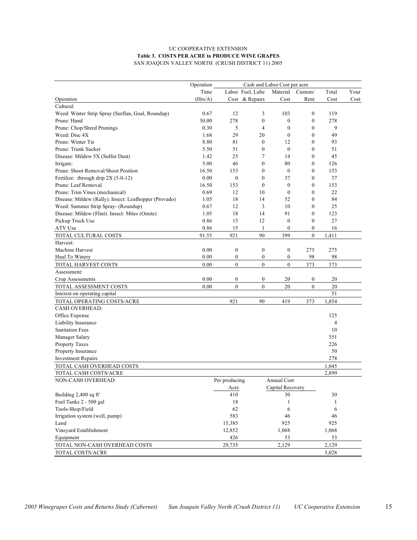#### UC COOPERATIVE EXTENSION **Table 3. COSTS PER ACRE to PRODUCE WINE GRAPES** SAN JOAQUIN VALLEY NORTH (CRUSH DISTRICT 11) 2005

|                                                       | Operation | Cash and Labor Cost per acre |                  |                  |                  |                |      |  |
|-------------------------------------------------------|-----------|------------------------------|------------------|------------------|------------------|----------------|------|--|
|                                                       | Time      |                              | Labor Fuel, Lube | Material         | Custom/          | Total          | Your |  |
| Operation                                             | (Hrs/A)   |                              | Cost & Repairs   | Cost             | Rent             | Cost           | Cost |  |
| Cultural:                                             |           |                              |                  |                  |                  |                |      |  |
| Weed: Winter Strip Spray (Surflan, Goal, Roundup)     | 0.67      | 12                           | 3                | 103              | $\boldsymbol{0}$ | 119            |      |  |
| Prune: Hand                                           | 30.00     | 278                          | $\mathbf{0}$     | $\boldsymbol{0}$ | $\mathbf{0}$     | 278            |      |  |
| Prune: Chop/Shred Prunings                            | 0.30      | 5                            | 4                | $\boldsymbol{0}$ | $\theta$         | 9              |      |  |
| Weed: Disc 4X                                         | 1.68      | 29                           | 20               | $\boldsymbol{0}$ | $\mathbf{0}$     | 49             |      |  |
| Prune: Winter Tie                                     | 8.80      | 81                           | $\mathbf{0}$     | 12               | $\theta$         | 93             |      |  |
| Prune: Trunk Sucker                                   | 5.50      | 51                           | $\mathbf{0}$     | $\mathbf{0}$     | $\theta$         | 51             |      |  |
| Disease: Mildew 5X (Sulfur Dust)                      | 1.42      | 25                           | 7                | 14               | $\theta$         | 45             |      |  |
| Irrigate:                                             | 5.00      | 46                           | $\boldsymbol{0}$ | 80               | $\mathbf{0}$     | 126            |      |  |
| Prune: Shoot Removal/Shoot Position                   | 16.50     | 153                          | $\mathbf{0}$     | $\boldsymbol{0}$ | $\theta$         | 153            |      |  |
| Fertilize: through drip 2X (5-0-12)                   | 0.00      | $\boldsymbol{0}$             | $\mathbf{0}$     | 37               | $\theta$         | 37             |      |  |
| Prune: Leaf Removal                                   | 16.50     | 153                          | $\mathbf{0}$     | $\boldsymbol{0}$ | $\boldsymbol{0}$ | 153            |      |  |
| Prune: Trim Vines (mechanical)                        | 0.69      | 12                           | 10               | $\boldsymbol{0}$ | $\boldsymbol{0}$ | 22             |      |  |
| Disease: Mildew (Rally). Insect: Leafhopper (Provado) | 1.05      | 18                           | 14               | 52               | $\theta$         | 84             |      |  |
| Weed: Summer Strip Spray- (Roundup)                   | 0.67      | 12                           | 3                | 10               | $\theta$         | 25             |      |  |
| Disease: Mildew (Flint). Insect: Mites (Omite)        | 1.05      | 18                           | 14               | 91               | $\theta$         | 123            |      |  |
| Pickup Truck Use                                      | 0.86      | 15                           | 12               | $\boldsymbol{0}$ | $\mathbf{0}$     | 27             |      |  |
| ATV Use                                               | 0.86      | 15                           | 1                | $\boldsymbol{0}$ | $\boldsymbol{0}$ | 16             |      |  |
| TOTAL CULTURAL COSTS                                  | 91.55     | 921                          | 90               | 399              | $\mathbf{0}$     | 1,411          |      |  |
| Harvest:                                              |           |                              |                  |                  |                  |                |      |  |
| Machine Harvest                                       | 0.00      | $\boldsymbol{0}$             | $\boldsymbol{0}$ | $\boldsymbol{0}$ | 275              | 275            |      |  |
| Haul To Winery                                        | 0.00      | $\boldsymbol{0}$             | $\boldsymbol{0}$ | $\boldsymbol{0}$ | 98               | 98             |      |  |
| TOTAL HARVEST COSTS                                   | 0.00      | $\boldsymbol{0}$             | $\mathbf{0}$     | $\overline{0}$   | 373              | 373            |      |  |
| Assessment:                                           |           |                              |                  |                  |                  |                |      |  |
| Crop Assessments                                      | 0.00      | $\boldsymbol{0}$             | $\boldsymbol{0}$ | 20               | $\boldsymbol{0}$ | 20             |      |  |
| TOTAL ASSESSMENT COSTS                                | 0.00      | $\mathbf{0}$                 | $\mathbf{0}$     | 20               | $\mathbf{0}$     | 20             |      |  |
| Interest on operating capital                         |           |                              |                  |                  |                  | 51             |      |  |
| TOTAL OPERATING COSTS/ACRE                            |           | 921                          | 90               | 419              | 373              | 1,854          |      |  |
| <b>CASH OVERHEAD:</b>                                 |           |                              |                  |                  |                  |                |      |  |
| Office Expense                                        |           |                              |                  |                  |                  | 125            |      |  |
| Liability Insurance                                   |           |                              |                  |                  |                  | $\overline{4}$ |      |  |
| <b>Sanitation Fees</b>                                |           |                              |                  |                  |                  | 10             |      |  |
| Manager Salary                                        |           |                              |                  |                  |                  | 351            |      |  |
| <b>Property Taxes</b>                                 |           |                              |                  |                  |                  | 226            |      |  |
| Property Insurance                                    |           |                              |                  |                  |                  | 50             |      |  |
| <b>Investment Repairs</b>                             |           |                              |                  |                  |                  | 278            |      |  |
| TOTAL CASH OVERHEAD COSTS                             |           |                              |                  |                  |                  | 1,045          |      |  |
| TOTAL CASH COSTS/ACRE                                 |           |                              |                  |                  |                  | 2,899          |      |  |
| NON-CASH OVERHEAD:                                    |           | Per producing                |                  | Annual Cost      |                  |                |      |  |
|                                                       |           | Acre                         |                  | Capital Recovery |                  |                |      |  |
| Building 2,400 sq ft'                                 |           | 410                          |                  | 30               |                  | 30             |      |  |
| Fuel Tanks 2 - 500 gal                                |           | 18                           |                  | 1                |                  | 1              |      |  |
| Tools-Shop/Field                                      |           | 62                           |                  | 6                |                  | 6              |      |  |
| Irrigation system (well, pump)                        |           | 583                          |                  | 46               |                  | 46             |      |  |
| Land                                                  |           | 15,385                       |                  | 925              |                  | 925            |      |  |
| Vineyard Establishment                                |           | 12,852                       |                  | 1,068            |                  | 1,068          |      |  |
| Equipment                                             |           | 426                          |                  | 53               |                  | 53             |      |  |
| TOTAL NON-CASH OVERHEAD COSTS                         |           | 29,735                       |                  | 2,129            |                  | 2,129          |      |  |
| TOTAL COSTS/ACRE                                      |           |                              |                  |                  |                  | 5,028          |      |  |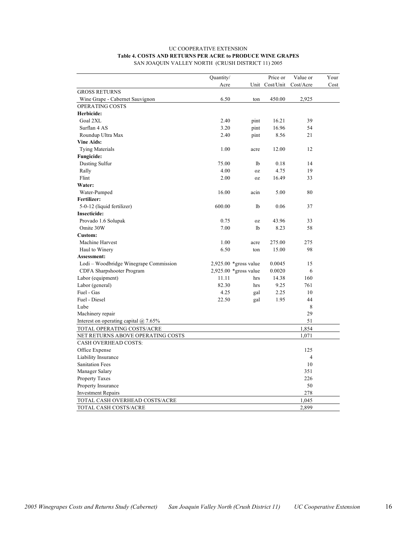#### UC COOPERATIVE EXTENSION **Table 4. COSTS AND RETURNS PER ACRE to PRODUCE WINE GRAPES** SAN JOAQUIN VALLEY NORTH (CRUSH DISTRICT 11) 2005

|                                         | Quantity/ |                         | Price or       | Value or       | Your |
|-----------------------------------------|-----------|-------------------------|----------------|----------------|------|
|                                         | Acre      |                         | Unit Cost/Unit | Cost/Acre      | Cost |
| <b>GROSS RETURNS</b>                    |           |                         |                |                |      |
| Wine Grape - Cabernet Sauvignon         | 6.50      | ton                     | 450.00         | 2,925          |      |
| OPERATING COSTS                         |           |                         |                |                |      |
| Herbicide:                              |           |                         |                |                |      |
| Goal 2XL                                | 2.40      | pint                    | 16.21          | 39             |      |
| Surflan 4 AS                            | 3.20      | pint                    | 16.96          | 54             |      |
| Roundup Ultra Max                       | 2.40      | pint                    | 8.56           | 21             |      |
| <b>Vine Aids:</b>                       |           |                         |                |                |      |
| <b>Tying Materials</b>                  | 1.00      | acre                    | 12.00          | 12             |      |
| <b>Fungicide:</b>                       |           |                         |                |                |      |
| Dusting Sulfur                          | 75.00     | 1b                      | 0.18           | 14             |      |
| Rally                                   | 4.00      | 0Z                      | 4.75           | 19             |      |
| Flint                                   | 2.00      | 0Z                      | 16.49          | 33             |      |
| Water:                                  |           |                         |                |                |      |
| Water-Pumped                            | 16.00     | acin                    | 5.00           | 80             |      |
| Fertilizer:                             |           |                         |                |                |      |
| 5-0-12 (liquid fertilizer)              | 600.00    | lb                      | 0.06           | 37             |      |
| <b>Insecticide:</b>                     |           |                         |                |                |      |
| Provado 1.6 Solupak                     | 0.75      | 0Z                      | 43.96          | 33             |      |
| Omite 30W                               | 7.00      | 1b                      | 8.23           | 58             |      |
| Custom:                                 |           |                         |                |                |      |
| Machine Harvest                         | 1.00      | acre                    | 275.00         | 275            |      |
| Haul to Winery                          | 6.50      | ton                     | 15.00          | 98             |      |
| Assessment:                             |           |                         |                |                |      |
| Lodi – Woodbridge Winegrape Commission  |           | $2,925.00$ *gross value | 0.0045         | 15             |      |
| CDFA Sharpshooter Program               |           | $2,925.00$ *gross value | 0.0020         | 6              |      |
| Labor (equipment)                       | 11.11     | hrs                     | 14.38          | 160            |      |
| Labor (general)                         | 82.30     | hrs                     | 9.25           | 761            |      |
| Fuel - Gas                              | 4.25      | gal                     | 2.25           | 10             |      |
| Fuel - Diesel                           | 22.50     | gal                     | 1.95           | 44             |      |
| Lube                                    |           |                         |                | 8              |      |
| Machinery repair                        |           |                         |                | 29             |      |
| Interest on operating capital $@$ 7.65% |           |                         |                | 51             |      |
| TOTAL OPERATING COSTS/ACRE              |           |                         |                | 1,854          |      |
| NET RETURNS ABOVE OPERATING COSTS       |           |                         |                | 1,071          |      |
| <b>CASH OVERHEAD COSTS:</b>             |           |                         |                |                |      |
| Office Expense                          |           |                         |                | 125            |      |
| Liability Insurance                     |           |                         |                | $\overline{4}$ |      |
| <b>Sanitation Fees</b>                  |           |                         |                | 10             |      |
| Manager Salary                          |           |                         |                | 351            |      |
| Property Taxes                          |           |                         |                | 226            |      |
| Property Insurance                      |           |                         |                | 50             |      |
| <b>Investment Repairs</b>               |           |                         |                | 278            |      |
| TOTAL CASH OVERHEAD COSTS/ACRE          |           |                         |                | 1,045          |      |
| TOTAL CASH COSTS/ACRE                   |           |                         |                | 2,899          |      |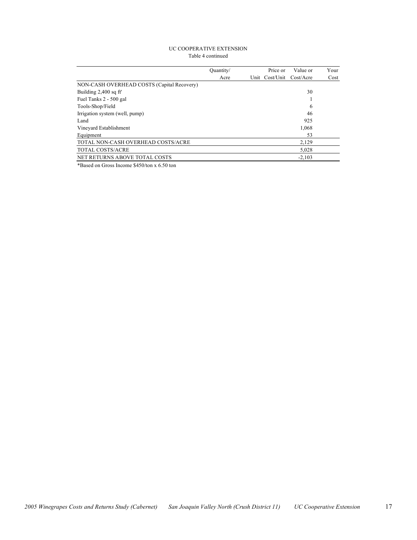#### UC COOPERATIVE EXTENSION Table 4 continued

|                                            | Ouantity/ | Price or       | Value or  | Your |
|--------------------------------------------|-----------|----------------|-----------|------|
|                                            | Acre      | Unit Cost/Unit | Cost/Acre | Cost |
| NON-CASH OVERHEAD COSTS (Capital Recovery) |           |                |           |      |
| Building 2,400 sq ft'                      |           |                | 30        |      |
| Fuel Tanks 2 - 500 gal                     |           |                |           |      |
| Tools-Shop/Field                           |           |                | 6         |      |
| Irrigation system (well, pump)             |           |                | 46        |      |
| Land                                       |           |                | 925       |      |
| Vinevard Establishment                     |           |                | 1,068     |      |
| Equipment                                  |           |                | 53        |      |
| TOTAL NON-CASH OVERHEAD COSTS/ACRE         |           |                | 2,129     |      |
| TOTAL COSTS/ACRE                           |           |                | 5,028     |      |
| NET RETURNS ABOVE TOTAL COSTS              |           |                | $-2,103$  |      |
|                                            |           |                |           |      |

\*Based on Gross Income \$450/ton x 6.50 ton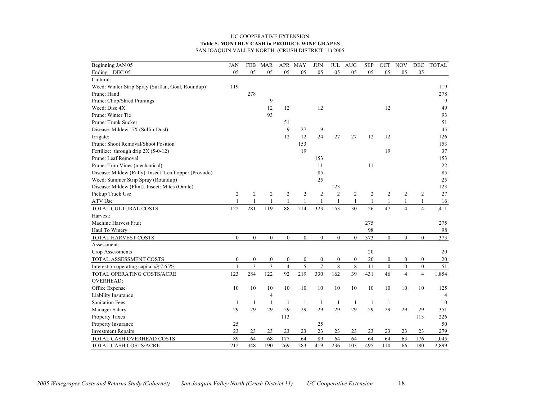#### UC COOPERATIVE EXTENSION **Table 5. MONTHLY CASH to PRODUCE WINE GRAPES** SAN JOAQUIN VALLEY NORTH (CRUSH DISTRICT 11) 2005

| Beginning JAN 05                                      | JAN              | FEB              | <b>MAR</b>       |                  | APR MAY          | <b>JUN</b>       | JUL              | <b>AUG</b>       | <b>SEP</b>     | OCT            | <b>NOV</b>       | DEC              | <b>TOTAL</b>   |
|-------------------------------------------------------|------------------|------------------|------------------|------------------|------------------|------------------|------------------|------------------|----------------|----------------|------------------|------------------|----------------|
| Ending DEC 05                                         | 05               | 05               | 05               | 05               | 05               | 05               | 05               | 05               | 05             | 05             | 05               | 05               |                |
| Cultural:                                             |                  |                  |                  |                  |                  |                  |                  |                  |                |                |                  |                  |                |
| Weed: Winter Strip Spray (Surflan, Goal, Roundup)     | 119              |                  |                  |                  |                  |                  |                  |                  |                |                |                  |                  | 119            |
| Prune: Hand                                           |                  | 278              |                  |                  |                  |                  |                  |                  |                |                |                  |                  | 278            |
| Prune: Chop/Shred Prunings                            |                  |                  | 9                |                  |                  |                  |                  |                  |                |                |                  |                  | 9              |
| Weed: Disc 4X                                         |                  |                  | 12               | 12               |                  | 12               |                  |                  |                | 12             |                  |                  | 49             |
| Prune: Winter Tie                                     |                  |                  | 93               |                  |                  |                  |                  |                  |                |                |                  |                  | 93             |
| Prune: Trunk Sucker                                   |                  |                  |                  | 51               |                  |                  |                  |                  |                |                |                  |                  | 51             |
| Disease: Mildew 5X (Sulfur Dust)                      |                  |                  |                  | 9                | 27               | 9                |                  |                  |                |                |                  |                  | 45             |
| Irrigate:                                             |                  |                  |                  | 12               | 12               | 24               | 27               | 27               | 12             | 12             |                  |                  | 126            |
| Prune: Shoot Removal/Shoot Position                   |                  |                  |                  |                  | 153              |                  |                  |                  |                |                |                  |                  | 153            |
| Fertilize: through drip 2X (5-0-12)                   |                  |                  |                  |                  | 19               |                  |                  |                  |                | 19             |                  |                  | 37             |
| Prune: Leaf Removal                                   |                  |                  |                  |                  |                  | 153              |                  |                  |                |                |                  |                  | 153            |
| Prune: Trim Vines (mechanical)                        |                  |                  |                  |                  |                  | 11               |                  |                  | 11             |                |                  |                  | $22\,$         |
| Disease: Mildew (Rally). Insect: Leafhopper (Provado) |                  |                  |                  |                  |                  | 85               |                  |                  |                |                |                  |                  | 85             |
| Weed: Summer Strip Spray (Roundup)                    |                  |                  |                  |                  |                  | 25               |                  |                  |                |                |                  |                  | 25             |
| Disease: Mildew (Flint). Insect: Mites (Omite)        |                  |                  |                  |                  |                  |                  | 123              |                  |                |                |                  |                  | 123            |
| Pickup Truck Use                                      | $\overline{2}$   | $\boldsymbol{2}$ | $\overline{2}$   | $\sqrt{2}$       | $\overline{2}$   | $\boldsymbol{2}$ | $\overline{2}$   | $\overline{c}$   | $\overline{c}$ | $\overline{2}$ | $\boldsymbol{2}$ | $\overline{c}$   | 27             |
| ATV Use                                               | $\mathbf{1}$     |                  | $\overline{1}$   | 1                | $\mathbf{1}$     | 1                |                  | $\mathbf{1}$     | $\mathbf{1}$   | -1             | 1                |                  | 16             |
| TOTAL CULTURAL COSTS                                  | 122              | 281              | 119              | 88               | 214              | 323              | 153              | 30               | 26             | 47             | $\overline{4}$   | $\overline{4}$   | 1,411          |
| Harvest:                                              |                  |                  |                  |                  |                  |                  |                  |                  |                |                |                  |                  |                |
| Machine Harvest Fruit                                 |                  |                  |                  |                  |                  |                  |                  |                  | 275            |                |                  |                  | 275            |
| Haul To Winery                                        |                  |                  |                  |                  |                  |                  |                  |                  | 98             |                |                  |                  | 98             |
| TOTAL HARVEST COSTS                                   | $\mathbf{0}$     | $\mathbf{0}$     | $\overline{0}$   | $\boldsymbol{0}$ | $\boldsymbol{0}$ | $\overline{0}$   | $\mathbf{0}$     | $\overline{0}$   | 373            | $\mathbf{0}$   | $\mathbf{0}$     | $\mathbf{0}$     | 373            |
| Assessment:                                           |                  |                  |                  |                  |                  |                  |                  |                  |                |                |                  |                  |                |
| Crop Assessments                                      |                  |                  |                  |                  |                  |                  |                  |                  | 20             |                |                  |                  | 20             |
| TOTAL ASSESSMENT COSTS                                | $\boldsymbol{0}$ | $\boldsymbol{0}$ | $\boldsymbol{0}$ | $\boldsymbol{0}$ | $\boldsymbol{0}$ | $\boldsymbol{0}$ | $\boldsymbol{0}$ | $\boldsymbol{0}$ | $20\,$         | $\mathbf{0}$   | $\boldsymbol{0}$ | $\boldsymbol{0}$ | 20             |
| Interest on operating capital $@$ 7.65%               | $\mathbf{1}$     | $\overline{3}$   | $\overline{3}$   | $\overline{4}$   | 5                | $\overline{7}$   | 8                | 8                | 11             | $\theta$       | $\theta$         | $\theta$         | 51             |
| TOTAL OPERATING COSTS/ACRE                            | 123              | 284              | 122              | 92               | 219              | 330              | 162              | 39               | 431            | 46             | $\overline{4}$   | $\overline{4}$   | 1,854          |
| <b>OVERHEAD:</b>                                      |                  |                  |                  |                  |                  |                  |                  |                  |                |                |                  |                  |                |
| Office Expense                                        | 10               | 10               | 10               | 10               | 10               | 10               | 10               | 10               | 10             | 10             | 10               | 10               | 125            |
| Liability Insurance                                   |                  |                  | $\overline{4}$   |                  |                  |                  |                  |                  |                |                |                  |                  | $\overline{4}$ |
| <b>Sanitation Fees</b>                                | -1               | -1               | $\mathbf{1}$     | $\mathbf{1}$     | 1                | $\mathbf{1}$     | -1               | -1               | $\mathbf{1}$   | -1             |                  |                  | 10             |
| Manager Salary                                        | 29               | 29               | 29               | 29               | 29               | 29               | 29               | 29               | 29             | 29             | 29               | 29               | 351            |
| Property Taxes                                        |                  |                  |                  | 113              |                  |                  |                  |                  |                |                |                  | 113              | 226            |
| Property Insurance                                    | 25               |                  |                  |                  |                  | 25               |                  |                  |                |                |                  |                  | 50             |
| <b>Investment Repairs</b>                             | 23               | 23               | 23               | 23               | 23               | 23               | 23               | 23               | 23             | 23             | 23               | 23               | 279            |
| TOTAL CASH OVERHEAD COSTS                             | 89               | 64               | 68               | 177              | 64               | 89               | 64               | 64               | 64             | 64             | 63               | 176              | 1,045          |
| TOTAL CASH COSTS/ACRE                                 | 212              | 348              | 190              | 269              | 283              | 419              | 236              | 103              | 495            | 110            | 66               | 180              | 2,899          |
|                                                       |                  |                  |                  |                  |                  |                  |                  |                  |                |                |                  |                  |                |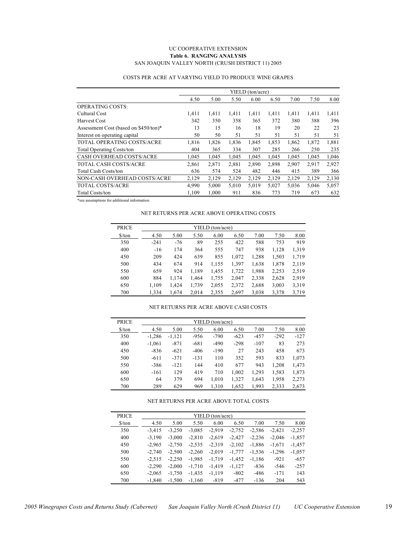#### UC COOPERATIVE EXTENSION **Table 6. RANGING ANALYSIS** SAN JOAQUIN VALLEY NORTH (CRUSH DISTRICT 11) 2005

|                                       | YIELD (ton/acre) |       |       |       |       |       |       |       |
|---------------------------------------|------------------|-------|-------|-------|-------|-------|-------|-------|
|                                       | 4.50             | 5.00  | 5.50  | 6.00  | 6.50  | 7.00  | 7.50  | 8.00  |
| <b>OPERATING COSTS:</b>               |                  |       |       |       |       |       |       |       |
| Cultural Cost                         | 1,411            | 1,411 | 1,411 | 1,411 | 1,411 | 1,411 | 1,411 | 1,411 |
| <b>Harvest Cost</b>                   | 342              | 350   | 358   | 365   | 372   | 380   | 388   | 396   |
| Assessment Cost (based on \$450/ton)* | 13               | 15    | 16    | 18    | 19    | 20    | 22    | 23    |
| Interest on operating capital         | 50               | 50    | 51    | 51    | 51    | 51    | 51    | 51    |
| <b>TOTAL OPERATING COSTS/ACRE</b>     | 1,816            | 1,826 | 1,836 | 1,845 | 1,853 | 1,862 | 1,872 | 1,881 |
| <b>Total Operating Costs/ton</b>      | 404              | 365   | 334   | 307   | 285   | 266   | 250   | 235   |
| CASH OVERHEAD COSTS/ACRE              | 1,045            | 1,045 | 1,045 | 1,045 | 1,045 | 1,045 | 1,045 | 1,046 |
| <b>TOTAL CASH COSTS/ACRE</b>          | 2,861            | 2,871 | 2,881 | 2,890 | 2.898 | 2,907 | 2,917 | 2,927 |
| <b>Total Cash Costs/ton</b>           | 636              | 574   | 524   | 482   | 446   | 415   | 389   | 366   |
| NON-CASH OVERHEAD COSTS/ACRE          | 2,129            | 2,129 | 2,129 | 2,129 | 2,129 | 2,129 | 2,129 | 2,130 |
| <b>TOTAL COSTS/ACRE</b>               | 4,990            | 5,000 | 5,010 | 5,019 | 5,027 | 5,036 | 5,046 | 5,057 |
| <b>Total Costs/ton</b>                | 1.109            | 1.000 | 911   | 836   | 773   | 719   | 673   | 632   |

#### COSTS PER ACRE AT VARYING YIELD TO PRODUCE WINE GRAPES

\*see assumptions for additional information

#### NET RETURNS PER ACRE ABOVE OPERATING COSTS

| <b>PRICE</b>                  |        |       |       | YIELD (ton/acre) |       |       |       |       |
|-------------------------------|--------|-------|-------|------------------|-------|-------|-------|-------|
| $\frac{\text{S}}{\text{ton}}$ | 4.50   | 5.00  | 5.50  | 6.00             | 6.50  | 7.00  | 7.50  | 8.00  |
| 350                           | $-241$ | $-76$ | 89    | 255              | 422   | 588   | 753   | 919   |
| 400                           | $-16$  | 174   | 364   | 555              | 747   | 938   | 1,128 | 1,319 |
| 450                           | 209    | 424   | 639   | 855              | 1,072 | 1,288 | 1,503 | 1,719 |
| 500                           | 434    | 674   | 914   | 1,155            | 1,397 | 1,638 | 1,878 | 2,119 |
| 550                           | 659    | 924   | 1,189 | 1,455            | 1,722 | 1,988 | 2,253 | 2.519 |
| 600                           | 884    | 1,174 | 1,464 | 1,755            | 2,047 | 2,338 | 2,628 | 2,919 |
| 650                           | 1,109  | 1,424 | 1,739 | 2,055            | 2,372 | 2,688 | 3,003 | 3,319 |
| 700                           | 1,334  | 1,674 | 2,014 | 2,355            | 2,697 | 3,038 | 3,378 | 3,719 |

#### NET RETURNS PER ACRE ABOVE CASH COSTS

| <b>PRICE</b>         | YIELD (ton/acre) |          |        |        |        |        |        |        |  |  |
|----------------------|------------------|----------|--------|--------|--------|--------|--------|--------|--|--|
| $\frac{\sqrt{2}}{2}$ | 4.50             | 5.00     | 5.50   | 6.00   | 6.50   | 7.00   | 7.50   | 8.00   |  |  |
| 350                  | $-1,286$         | $-1,121$ | -956   | $-790$ | $-623$ | $-457$ | $-292$ | $-127$ |  |  |
| 400                  | $-1,061$         | $-871$   | $-681$ | $-490$ | $-298$ | $-107$ | 83     | 273    |  |  |
| 450                  | $-836$           | $-621$   | $-406$ | $-190$ | 27     | 243    | 458    | 673    |  |  |
| 500                  | $-611$           | $-371$   | $-131$ | 110    | 352    | 593    | 833    | 1,073  |  |  |
| 550                  | $-386$           | $-121$   | 144    | 410    | 677    | 943    | 1.208  | 1,473  |  |  |
| 600                  | $-161$           | 129      | 419    | 710    | 1,002  | 1,293  | 1,583  | 1,873  |  |  |
| 650                  | 64               | 379      | 694    | 1,010  | 1,327  | 1,643  | 1,958  | 2,273  |  |  |
| 700                  | 289              | 629      | 969    | 1,310  | 1,652  | 1,993  | 2,333  | 2,673  |  |  |

#### NET RETURNS PER ACRE ABOVE TOTAL COSTS

| <b>PRICE</b>                  |          |          |          | YIELD (ton/acre) |          |          |          |          |
|-------------------------------|----------|----------|----------|------------------|----------|----------|----------|----------|
| $\frac{\text{S}}{\text{ton}}$ | 4.50     | 5.00     | 5.50     | 6.00             | 6.50     | 7.00     | 7.50     | 8.00     |
| 350                           | $-3,415$ | $-3,250$ | $-3,085$ | $-2.919$         | $-2,752$ | $-2,586$ | $-2,421$ | $-2,257$ |
| 400                           | $-3,190$ | $-3,000$ | $-2,810$ | $-2,619$         | $-2,427$ | $-2,236$ | $-2.046$ | $-1,857$ |
| 450                           | $-2,965$ | $-2,750$ | $-2,535$ | $-2,319$         | $-2,102$ | $-1,886$ | $-1,671$ | $-1,457$ |
| 500                           | $-2.740$ | $-2,500$ | $-2,260$ | $-2,019$         | $-1,777$ | $-1,536$ | $-1,296$ | $-1,057$ |
| 550                           | $-2,515$ | $-2,250$ | $-1,985$ | $-1,719$         | $-1,452$ | $-1,186$ | $-921$   | $-657$   |
| 600                           | $-2,290$ | $-2,000$ | $-1,710$ | $-1,419$         | $-1,127$ | $-836$   | $-546$   | $-257$   |
| 650                           | $-2,065$ | $-1,750$ | $-1,435$ | $-1,119$         | $-802$   | $-486$   | $-171$   | 143      |
| 700                           | $-1.840$ | $-1.500$ | $-1.160$ | $-819$           | $-477$   | $-136$   | 204      | 543      |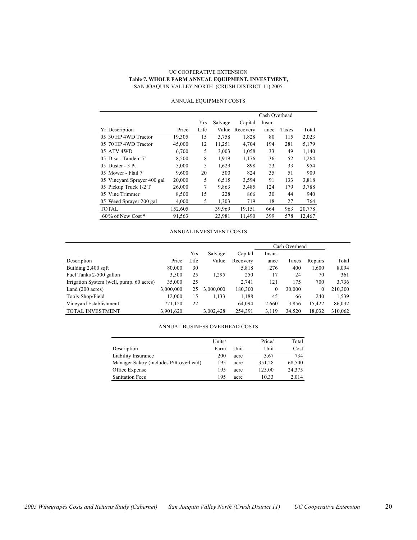#### UC COOPERATIVE EXTENSION **Table 7. WHOLE FARM ANNUAL EQUIPMENT, INVESTMENT,** SAN JOAQUIN VALLEY NORTH (CRUSH DISTRICT 11) 2005

|                             |         |      |         |          | Cash Overhead |       |        |
|-----------------------------|---------|------|---------|----------|---------------|-------|--------|
|                             |         | Yrs  | Salvage | Capital  | Insur-        |       |        |
| <b>Yr</b> Description       | Price   | Life | Value   | Recovery | ance          | Taxes | Total  |
| 05 30 HP 4WD Tractor        | 19,305  | 15   | 3,758   | 1,828    | 80            | 115   | 2,023  |
| 05 70 HP 4WD Tractor        | 45,000  | 12   | 11,251  | 4,704    | 194           | 281   | 5,179  |
| 05 ATV 4WD                  | 6,700   | 5    | 3,003   | 1,058    | 33            | 49    | 1,140  |
| 05 Disc - Tandem 7'         | 8,500   | 8    | 1,919   | 1,176    | 36            | 52    | 1,264  |
| 05 Duster - 3 Pt            | 5,000   | 5    | 1,629   | 898      | 23            | 33    | 954    |
| 05 Mower - Flail 7'         | 9.600   | 20   | 500     | 824      | 35            | 51    | 909    |
| 05 Vineyard Sprayer 400 gal | 20,000  | 5    | 6,515   | 3,594    | 91            | 133   | 3,818  |
| 05 Pickup Truck 1/2 T       | 26,000  | 7    | 9,863   | 3,485    | 124           | 179   | 3,788  |
| 05 Vine Trimmer             | 8,500   | 15   | 228     | 866      | 30            | 44    | 940    |
| 05 Weed Sprayer 200 gal     | 4,000   | 5    | 1,303   | 719      | 18            | 27    | 764    |
| <b>TOTAL</b>                | 152,605 |      | 39.969  | 19,151   | 664           | 963   | 20,778 |
| $60\%$ of New Cost $*$      | 91,563  |      | 23,981  | 11,490   | 399           | 578   | 12,467 |

#### ANNUAL EQUIPMENT COSTS

#### ANNUAL INVESTMENT COSTS

|                                          |           |      |           |          | Cash Overhead |        |         |         |
|------------------------------------------|-----------|------|-----------|----------|---------------|--------|---------|---------|
|                                          |           | Yrs  | Salvage   | Capital  | Insur-        |        |         |         |
| Description                              | Price     | Life | Value     | Recovery | ance          | Taxes  | Repairs | Total   |
| Building 2,400 sqft                      | 80.000    | 30   |           | 5,818    | 276           | 400    | 1.600   | 8,094   |
| Fuel Tanks 2-500 gallon                  | 3,500     | 25   | 1.295     | 250      | 17            | 24     | 70      | 361     |
| Irrigation System (well, pump. 60 acres) | 35,000    | 25   |           | 2.741    | 121           | 175    | 700     | 3,736   |
| Land $(200 \text{ acres})$               | 3,000,000 | 25   | 3.000.000 | 180,300  | $\mathbf{0}$  | 30,000 | 0       | 210,300 |
| Tools-Shop/Field                         | 12,000    | 15   | 1,133     | 1,188    | 45            | 66     | 240     | 1,539   |
| Vinevard Establishment                   | 771,120   | 22   |           | 64,094   | 2,660         | 3,856  | 15,422  | 86,032  |
| <b>TOTAL INVESTMENT</b>                  | 3,901,620 |      | 3,002,428 | 254,391  | 3,119         | 34.520 | 18,032  | 310,062 |

#### ANNUAL BUSINESS OVERHEAD COSTS

|                                        | Units/ |      | Price/ | Total  |
|----------------------------------------|--------|------|--------|--------|
| Description                            | Farm   | Unit | Unit   | Cost   |
| Liability Insurance                    | 200    | acre | 3.67   | 734    |
| Manager Salary (includes P/R overhead) | 195    | acre | 351.28 | 68,500 |
| Office Expense                         | 195    | acre | 125.00 | 24,375 |
| <b>Sanitation Fees</b>                 | 195    | acre | 10.33  | 2.014  |